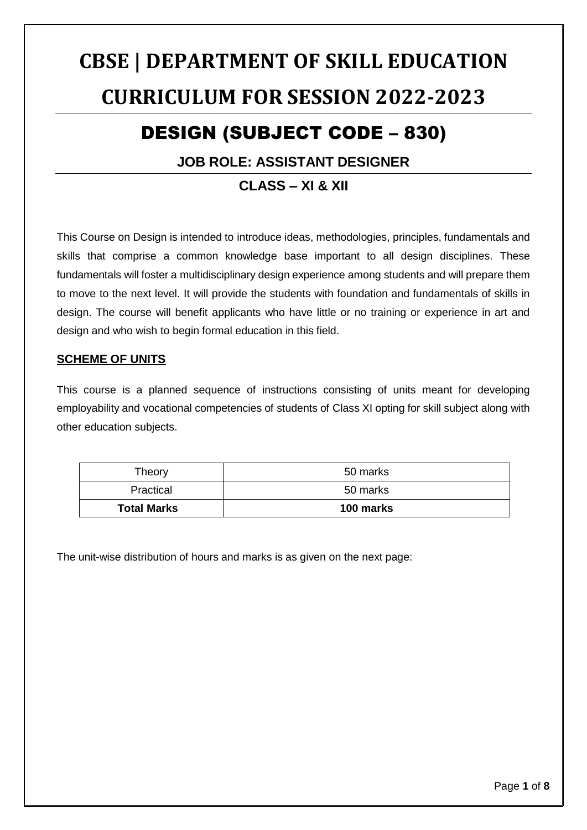# **CBSE | DEPARTMENT OF SKILL EDUCATION CURRICULUM FOR SESSION 2022-2023**

## DESIGN (SUBJECT CODE – 830)

#### **JOB ROLE: ASSISTANT DESIGNER**

#### **CLASS – XI & XII**

This Course on Design is intended to introduce ideas, methodologies, principles, fundamentals and skills that comprise a common knowledge base important to all design disciplines. These fundamentals will foster a multidisciplinary design experience among students and will prepare them to move to the next level. It will provide the students with foundation and fundamentals of skills in design. The course will benefit applicants who have little or no training or experience in art and design and who wish to begin formal education in this field.

#### **SCHEME OF UNITS**

This course is a planned sequence of instructions consisting of units meant for developing employability and vocational competencies of students of Class XI opting for skill subject along with other education subjects.

| Theory             | 50 marks  |
|--------------------|-----------|
| Practical          | 50 marks  |
| <b>Total Marks</b> | 100 marks |

The unit-wise distribution of hours and marks is as given on the next page: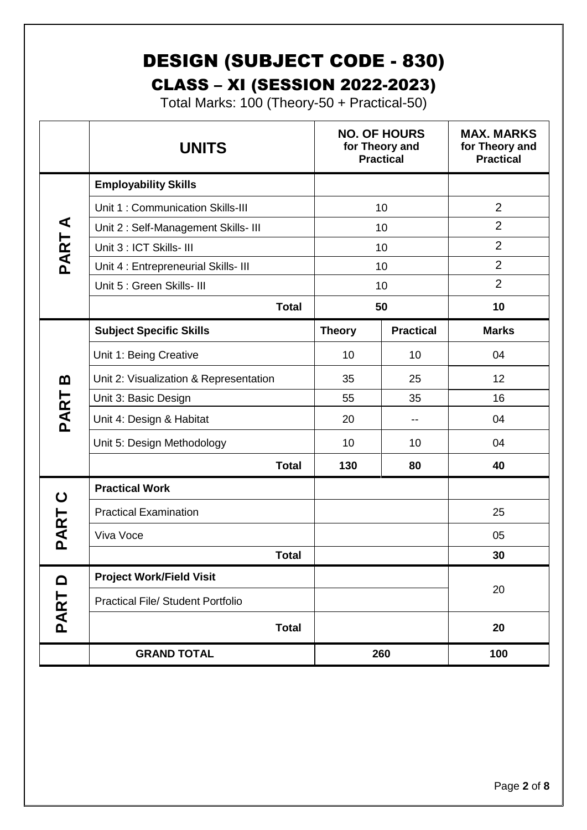## DESIGN (SUBJECT CODE - 830) CLASS – XI (SESSION 2022-2023)

Total Marks: 100 (Theory-50 + Practical-50)

|                      | <b>NO. OF HOURS</b><br><b>UNITS</b><br>for Theory and<br><b>Practical</b> |               | <b>MAX. MARKS</b><br>for Theory and<br><b>Practical</b> |                |
|----------------------|---------------------------------------------------------------------------|---------------|---------------------------------------------------------|----------------|
|                      | <b>Employability Skills</b>                                               |               |                                                         |                |
|                      | Unit 1: Communication Skills-III                                          | 10            |                                                         | $\overline{2}$ |
| $\blacktriangleleft$ | Unit 2: Self-Management Skills- III                                       | 10            |                                                         | $\overline{2}$ |
| PART.                | Unit 3 : ICT Skills- III                                                  |               | 10                                                      | $\overline{2}$ |
|                      | Unit 4 : Entrepreneurial Skills- III                                      | 10            |                                                         | $\overline{2}$ |
|                      | Unit 5 : Green Skills- III                                                | 10            |                                                         | $\overline{2}$ |
|                      | <b>Total</b>                                                              | 50            |                                                         | 10             |
|                      | <b>Subject Specific Skills</b>                                            | <b>Theory</b> | <b>Practical</b>                                        | <b>Marks</b>   |
|                      | Unit 1: Being Creative                                                    | 10            | 10                                                      | 04             |
| m                    | Unit 2: Visualization & Representation                                    | 35            | 25                                                      | 12             |
|                      | Unit 3: Basic Design                                                      | 55            | 35                                                      | 16             |
| PART                 | Unit 4: Design & Habitat                                                  | 20            | --                                                      | 04             |
|                      | Unit 5: Design Methodology                                                | 10            | 10                                                      | 04             |
|                      | <b>Total</b>                                                              | 130           | 80                                                      | 40             |
| ပ                    | <b>Practical Work</b>                                                     |               |                                                         |                |
|                      | <b>Practical Examination</b>                                              |               |                                                         | 25             |
| PART                 | Viva Voce                                                                 |               |                                                         | 05             |
|                      | <b>Total</b>                                                              |               |                                                         | 30             |
| ہ                    | <b>Project Work/Field Visit</b>                                           |               |                                                         |                |
|                      | <b>Practical File/ Student Portfolio</b>                                  |               |                                                         | 20             |
| PART                 | <b>Total</b>                                                              |               |                                                         | 20             |
|                      | <b>GRAND TOTAL</b>                                                        |               | 260                                                     | 100            |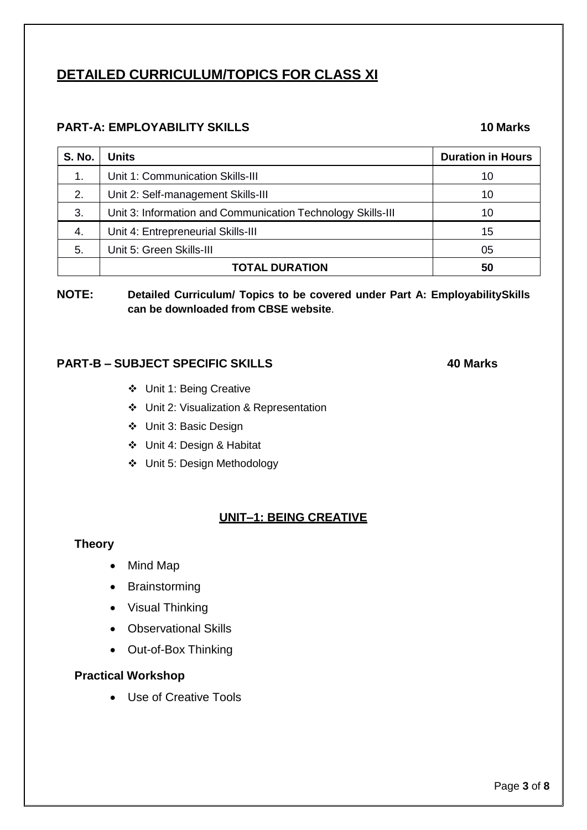### **DETAILED CURRICULUM/TOPICS FOR CLASS XI**

#### **PART-A: EMPLOYABILITY SKILLS 10 Marks**

| <b>S. No.</b> | <b>Units</b>                                                | <b>Duration in Hours</b> |
|---------------|-------------------------------------------------------------|--------------------------|
| 1.            | Unit 1: Communication Skills-III                            | 10                       |
| 2.            | Unit 2: Self-management Skills-III                          | 10                       |
| 3.            | Unit 3: Information and Communication Technology Skills-III | 10                       |
| 4.            | Unit 4: Entrepreneurial Skills-III                          | 15                       |
| 5.            | Unit 5: Green Skills-III                                    | 05                       |
|               | <b>TOTAL DURATION</b>                                       | 50                       |

#### **NOTE: Detailed Curriculum/ Topics to be covered under Part A: EmployabilitySkills can be downloaded from CBSE website**.

#### **PART-B – SUBJECT SPECIFIC SKILLS 40 Marks**

- Unit 1: Being Creative
- Unit 2: Visualization & Representation
- Unit 3: Basic Design
- Unit 4: Design & Habitat
- Unit 5: Design Methodology

#### **UNIT–1: BEING CREATIVE**

#### **Theory**

- Mind Map
- Brainstorming
- Visual Thinking
- Observational Skills
- Out-of-Box Thinking

#### **Practical Workshop**

Use of Creative Tools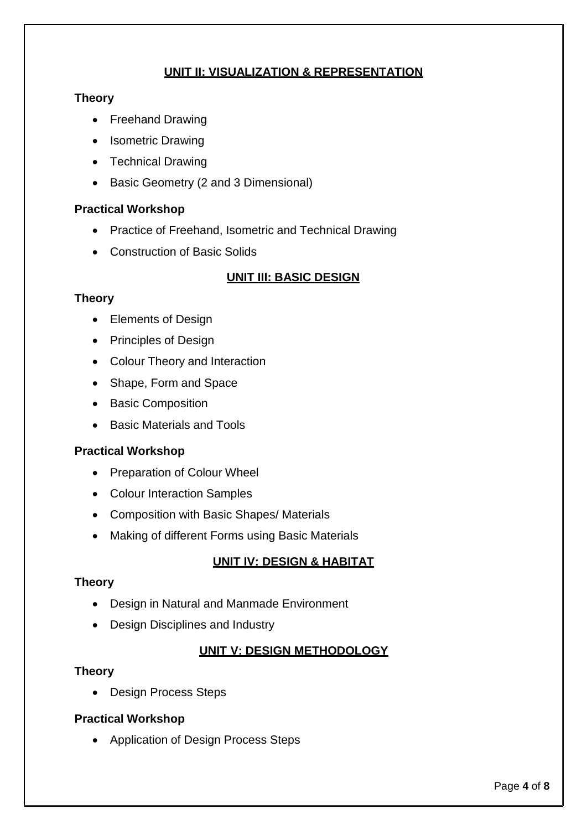#### **UNIT II: VISUALIZATION & REPRESENTATION**

#### **Theory**

- Freehand Drawing
- Isometric Drawing
- Technical Drawing
- Basic Geometry (2 and 3 Dimensional)

#### **Practical Workshop**

- Practice of Freehand, Isometric and Technical Drawing
- Construction of Basic Solids

#### **UNIT III: BASIC DESIGN**

#### **Theory**

- Elements of Design
- Principles of Design
- Colour Theory and Interaction
- Shape, Form and Space
- Basic Composition
- Basic Materials and Tools

#### **Practical Workshop**

- Preparation of Colour Wheel
- Colour Interaction Samples
- Composition with Basic Shapes/ Materials
- Making of different Forms using Basic Materials

#### **UNIT IV: DESIGN & HABITAT**

#### **Theory**

- Design in Natural and Manmade Environment
- Design Disciplines and Industry

#### **UNIT V: DESIGN METHODOLOGY**

#### **Theory**

• Design Process Steps

#### **Practical Workshop**

• Application of Design Process Steps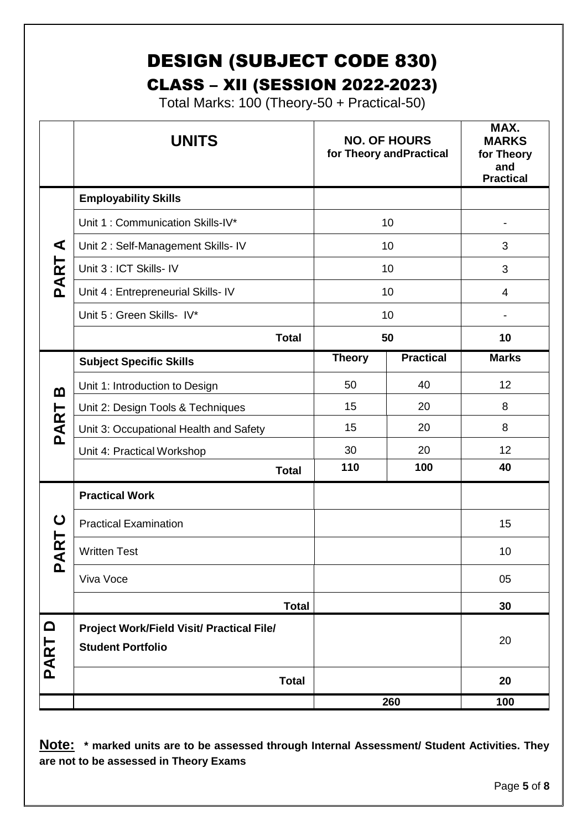## DESIGN (SUBJECT CODE 830) CLASS – XII (SESSION 2022-2023)

Total Marks: 100 (Theory-50 + Practical-50)

|                  | <b>UNITS</b>                                                          |               | <b>NO. OF HOURS</b><br>for Theory and Practical | MAX.<br><b>MARKS</b><br>for Theory<br>and<br><b>Practical</b> |
|------------------|-----------------------------------------------------------------------|---------------|-------------------------------------------------|---------------------------------------------------------------|
|                  | <b>Employability Skills</b>                                           |               |                                                 |                                                               |
|                  | Unit 1: Communication Skills-IV*                                      | 10            |                                                 |                                                               |
| ⋖                | Unit 2: Self-Management Skills- IV                                    | 10            |                                                 | 3                                                             |
| PART             | Unit 3 : ICT Skills- IV                                               | 10            |                                                 | 3                                                             |
|                  | Unit 4 : Entrepreneurial Skills- IV                                   | 10            |                                                 | 4                                                             |
|                  | Unit 5 : Green Skills- IV*                                            | 10            |                                                 |                                                               |
|                  | <b>Total</b>                                                          | 50            |                                                 | 10                                                            |
|                  | <b>Subject Specific Skills</b>                                        | <b>Theory</b> | <b>Practical</b>                                | <b>Marks</b>                                                  |
| മ                | Unit 1: Introduction to Design                                        | 50            | 40                                              | 12                                                            |
|                  | Unit 2: Design Tools & Techniques                                     | 15            | 20                                              | 8                                                             |
| PART             | Unit 3: Occupational Health and Safety                                | 15            | 20                                              | 8                                                             |
|                  | Unit 4: Practical Workshop                                            | 30            | 20                                              | 12                                                            |
|                  | <b>Total</b>                                                          | 110           | 100                                             | 40                                                            |
|                  | <b>Practical Work</b>                                                 |               |                                                 |                                                               |
| ပ                | <b>Practical Examination</b>                                          |               |                                                 | 15                                                            |
| AR <sup>-</sup>  | <b>Written Test</b>                                                   |               |                                                 | 10                                                            |
| $\mathbf{a}$     | Viva Voce                                                             |               |                                                 | 05                                                            |
|                  | <b>Total</b>                                                          |               |                                                 | 30                                                            |
| $\Omega$<br>PART | Project Work/Field Visit/ Practical File/<br><b>Student Portfolio</b> |               |                                                 | 20                                                            |
|                  | <b>Total</b>                                                          |               |                                                 | 20                                                            |
|                  |                                                                       |               | 260                                             | 100                                                           |

**Note: \* marked units are to be assessed through Internal Assessment/ Student Activities. They are not to be assessed in Theory Exams**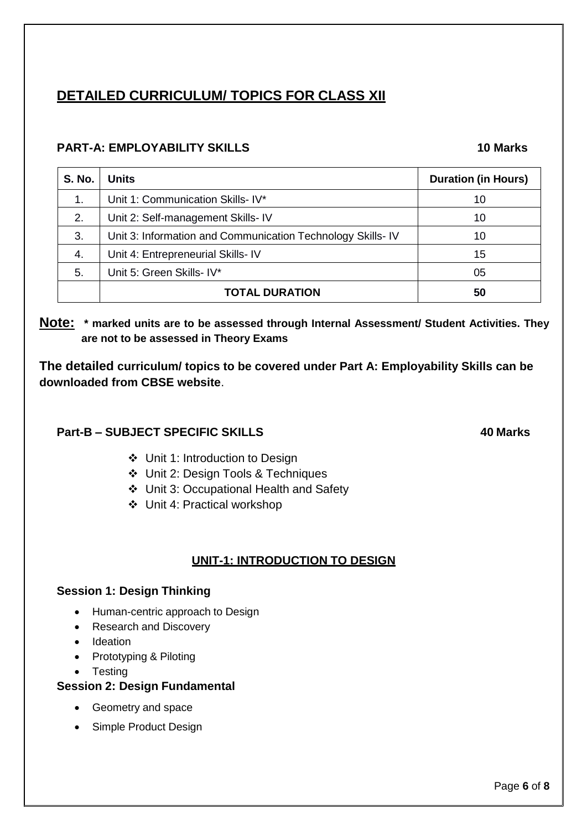### **DETAILED CURRICULUM/ TOPICS FOR CLASS XII**

#### **PART-A: EMPLOYABILITY SKILLS 10 Marks**

| <b>S. No.</b> | <b>Units</b>                                               | <b>Duration (in Hours)</b> |
|---------------|------------------------------------------------------------|----------------------------|
| 1.            | Unit 1: Communication Skills- IV*                          | 10                         |
| 2.            | Unit 2: Self-management Skills- IV                         | 10                         |
| 3.            | Unit 3: Information and Communication Technology Skills-IV | 10                         |
| 4.            | Unit 4: Entrepreneurial Skills-IV                          | 15                         |
| 5.            | Unit 5: Green Skills- IV*                                  | 05                         |
|               | <b>TOTAL DURATION</b>                                      | 50                         |

**Note: \* marked units are to be assessed through Internal Assessment/ Student Activities. They are not to be assessed in Theory Exams** 

**The detailed curriculum/ topics to be covered under Part A: Employability Skills can be downloaded from CBSE website**.

#### **Part-B – SUBJECT SPECIFIC SKILLS 40 Marks**

- Unit 1: Introduction to Design
- Unit 2: Design Tools & Techniques
- Unit 3: Occupational Health and Safety
- Unit 4: Practical workshop

#### **UNIT-1: INTRODUCTION TO DESIGN**

#### **Session 1: Design Thinking**

- Human-centric approach to Design
- Research and Discovery
- Ideation
- Prototyping & Piloting
- Testing

#### **Session 2: Design Fundamental**

- Geometry and space
- Simple Product Design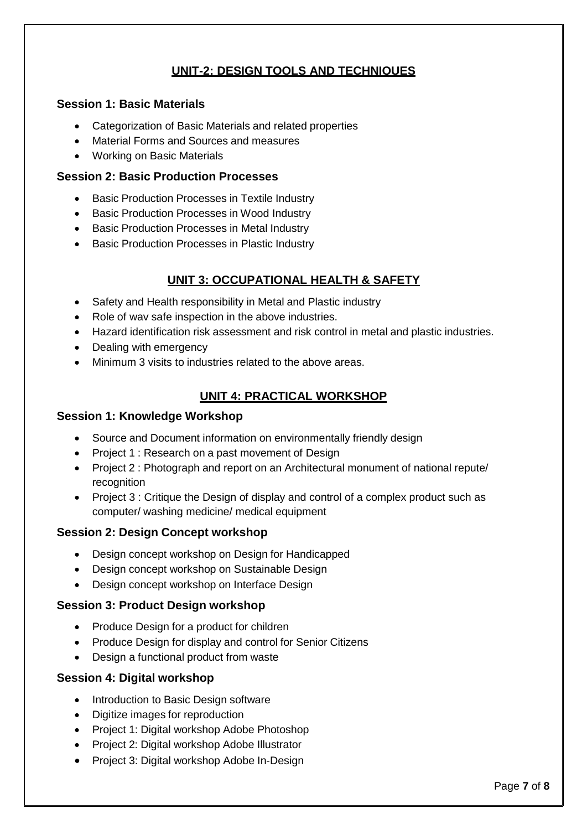#### **UNIT-2: DESIGN TOOLS AND TECHNIQUES**

#### **Session 1: Basic Materials**

- Categorization of Basic Materials and related properties
- Material Forms and Sources and measures
- Working on Basic Materials

#### **Session 2: Basic Production Processes**

- Basic Production Processes in Textile Industry
- Basic Production Processes in Wood Industry
- **Basic Production Processes in Metal Industry**
- Basic Production Processes in Plastic Industry

#### **UNIT 3: OCCUPATIONAL HEALTH & SAFETY**

- Safety and Health responsibility in Metal and Plastic industry
- Role of wav safe inspection in the above industries.
- Hazard identification risk assessment and risk control in metal and plastic industries.
- Dealing with emergency
- Minimum 3 visits to industries related to the above areas.

#### **UNIT 4: PRACTICAL WORKSHOP**

#### **Session 1: Knowledge Workshop**

- Source and Document information on environmentally friendly design
- Project 1 : Research on a past movement of Design
- Project 2 : Photograph and report on an Architectural monument of national repute/ recognition
- Project 3 : Critique the Design of display and control of a complex product such as computer/ washing medicine/ medical equipment

#### **Session 2: Design Concept workshop**

- Design concept workshop on Design for Handicapped
- Design concept workshop on Sustainable Design
- Design concept workshop on Interface Design

#### **Session 3: Product Design workshop**

- Produce Design for a product for children
- Produce Design for display and control for Senior Citizens
- Design a functional product from waste

#### **Session 4: Digital workshop**

- Introduction to Basic Design software
- Digitize images for reproduction
- Project 1: Digital workshop Adobe Photoshop
- Project 2: Digital workshop Adobe Illustrator
- Project 3: Digital workshop Adobe In-Design